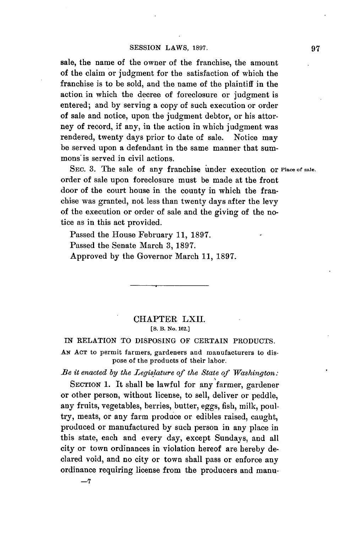sale, the name of the owner of the franchise, the amount of the claim or judgment for the satisfaction of which the franchise is to be sold, and the name of the plaintiff in the action in which the decree of foreclosure or judgment is entered; and **by** serving a copy of such execution or order of sale and notice, upon the judgment debtor, or his attorney of record, if any, in the action in which judgment was rendered, twenty days prior to date of sale. Notice may be served upon a defendant in the same manner that summons is served in civil actions.

SEC. **3.** The sale of any franchise under execution or **Place of sale.** order of sale upon foreclosure must be made at the front door of the court house in the county in which the franchise was granted, not less than twenty days after the levy of the execution or order of sale and the giving of the notice as in this act provided.

Passed the House February **11, 1897.** Passed the Senate March **3, 1897.** Approved **by** the Governor March **11, 1897.**

## CHAPTER LXII. **[S. B. No. 162.]**

**IN** RELATION TO DISPOSING OF **CERTAIN PRODUCTS.**

**AN ACT** to permit farmers, gardeners and manufacturers to dispose of the products of their labor.

*Be it enacted by the Legislature of the State of Washington:*

SECTION **1.** It shall be lawful for any farmer, gardener or other person, without license, to sell, deliver or peddle, any fruits, vegetables, berries, butter, eggs, fish, milk, poultry, meats, or any farm produce or edibles raised, caught, produced or manufactured **by** such person in any place in this state, each and every day, except Sundays, and all city or town ordinances in violation hereof are hereby declared void, and no city or town shall pass or enforce any ordinance requiring license from the producers and manu-

**-7**